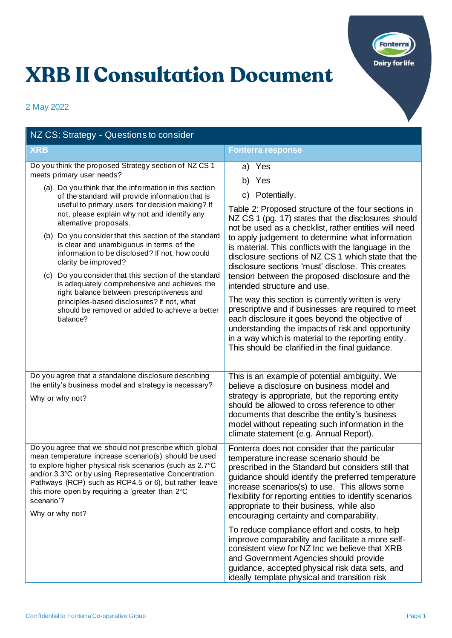

## **XRB II Consultation Document**

2 May 2022

| NZ CS: Strategy - Questions to consider                                                                                                                                                                                                                                                                                                                                                                                                                                                                                                                                                                                                                                                                                                                                       |                                                                                                                                                                                                                                                                                                                                                                                                                                                                                                                                                                                                                                                                                                                                                                                                                                                    |
|-------------------------------------------------------------------------------------------------------------------------------------------------------------------------------------------------------------------------------------------------------------------------------------------------------------------------------------------------------------------------------------------------------------------------------------------------------------------------------------------------------------------------------------------------------------------------------------------------------------------------------------------------------------------------------------------------------------------------------------------------------------------------------|----------------------------------------------------------------------------------------------------------------------------------------------------------------------------------------------------------------------------------------------------------------------------------------------------------------------------------------------------------------------------------------------------------------------------------------------------------------------------------------------------------------------------------------------------------------------------------------------------------------------------------------------------------------------------------------------------------------------------------------------------------------------------------------------------------------------------------------------------|
| <b>XRB</b>                                                                                                                                                                                                                                                                                                                                                                                                                                                                                                                                                                                                                                                                                                                                                                    | <b>Fonterra response</b>                                                                                                                                                                                                                                                                                                                                                                                                                                                                                                                                                                                                                                                                                                                                                                                                                           |
| Do you think the proposed Strategy section of NZCS 1<br>meets primary user needs?<br>(a) Do you think that the information in this section<br>of the standard will provide information that is<br>useful to primary users for decision making? If<br>not, please explain why not and identify any<br>alternative proposals.<br>(b) Do you consider that this section of the standard<br>is clear and unambiguous in terms of the<br>information to be disclosed? If not, how could<br>clarity be improved?<br>(c) Do you consider that this section of the standard<br>is adequately comprehensive and achieves the<br>right balance between prescriptiveness and<br>principles-based disclosures? If not, what<br>should be removed or added to achieve a better<br>balance? | a) Yes<br>b) Yes<br>c) Potentially.<br>Table 2: Proposed structure of the four sections in<br>NZ CS 1 (pg. 17) states that the disclosures should<br>not be used as a checklist, rather entities will need<br>to apply judgement to determine what information<br>is material. This conflicts with the language in the<br>disclosure sections of NZ CS 1 which state that the<br>disclosure sections 'must' disclose. This creates<br>tension between the proposed disclosure and the<br>intended structure and use.<br>The way this section is currently written is very<br>prescriptive and if businesses are required to meet<br>each disclosure it goes beyond the objective of<br>understanding the impacts of risk and opportunity<br>in a way which is material to the reporting entity.<br>This should be clarified in the final guidance. |
| Do you agree that a standalone disclosure describing<br>the entity's business model and strategy is necessary?<br>Why or why not?                                                                                                                                                                                                                                                                                                                                                                                                                                                                                                                                                                                                                                             | This is an example of potential ambiguity. We<br>believe a disclosure on business model and<br>strategy is appropriate, but the reporting entity<br>should be allowed to cross reference to other<br>documents that describe the entity's business<br>model without repeating such information in the<br>climate statement (e.g. Annual Report).                                                                                                                                                                                                                                                                                                                                                                                                                                                                                                   |
| Do you agree that we should not prescribe which global<br>mean temperature increase scenario(s) should be used<br>to explore higher physical risk scenarios (such as 2.7°C<br>and/or 3.3°C or by using Representative Concentration<br>Pathways (RCP) such as RCP4.5 or 6), but rather leave<br>this more open by requiring a 'greater than 2°C<br>scenario'?<br>Why or why not?                                                                                                                                                                                                                                                                                                                                                                                              | Fonterra does not consider that the particular<br>temperature increase scenario should be<br>prescribed in the Standard but considers still that<br>guidance should identify the preferred temperature<br>increase scenarios(s) to use. This allows some<br>flexibility for reporting entities to identify scenarios<br>appropriate to their business, while also<br>encouraging certainty and comparability.                                                                                                                                                                                                                                                                                                                                                                                                                                      |
|                                                                                                                                                                                                                                                                                                                                                                                                                                                                                                                                                                                                                                                                                                                                                                               | To reduce compliance effort and costs, to help<br>improve comparability and facilitate a more self-<br>consistent view for NZ Inc we believe that XRB<br>and Government Agencies should provide<br>guidance, accepted physical risk data sets, and<br>ideally template physical and transition risk                                                                                                                                                                                                                                                                                                                                                                                                                                                                                                                                                |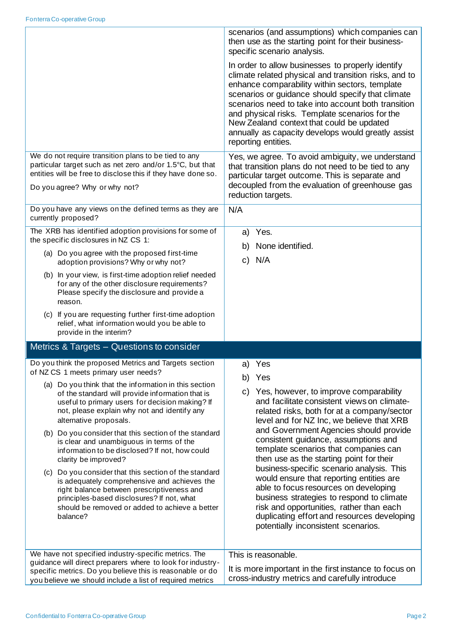|                                                                                                                                                                                                                                                                 | scenarios (and assumptions) which companies can<br>then use as the starting point for their business-<br>specific scenario analysis.                                                                                                                                                                                                                                                                                                                 |
|-----------------------------------------------------------------------------------------------------------------------------------------------------------------------------------------------------------------------------------------------------------------|------------------------------------------------------------------------------------------------------------------------------------------------------------------------------------------------------------------------------------------------------------------------------------------------------------------------------------------------------------------------------------------------------------------------------------------------------|
|                                                                                                                                                                                                                                                                 | In order to allow businesses to properly identify<br>climate related physical and transition risks, and to<br>enhance comparability within sectors, template<br>scenarios or guidance should specify that climate<br>scenarios need to take into account both transition<br>and physical risks. Template scenarios for the<br>New Zealand context that could be updated<br>annually as capacity develops would greatly assist<br>reporting entities. |
| We do not require transition plans to be tied to any<br>particular target such as net zero and/or 1.5°C, but that<br>entities will be free to disclose this if they have done so.<br>Do you agree? Why or why not?                                              | Yes, we agree. To avoid ambiguity, we understand<br>that transition plans do not need to be tied to any<br>particular target outcome. This is separate and<br>decoupled from the evaluation of greenhouse gas<br>reduction targets.                                                                                                                                                                                                                  |
| Do you have any views on the defined terms as they are<br>currently proposed?                                                                                                                                                                                   | N/A                                                                                                                                                                                                                                                                                                                                                                                                                                                  |
| The XRB has identified adoption provisions for some of<br>the specific disclosures in NZ CS 1:                                                                                                                                                                  | Yes.<br>a)<br>None identified.<br>b)                                                                                                                                                                                                                                                                                                                                                                                                                 |
| (a) Do you agree with the proposed first-time<br>adoption provisions? Why or why not?                                                                                                                                                                           | N/A<br>$\mathsf{C}$                                                                                                                                                                                                                                                                                                                                                                                                                                  |
| (b) In your view, is first-time adoption relief needed<br>for any of the other disclosure requirements?<br>Please specify the disclosure and provide a<br>reason.                                                                                               |                                                                                                                                                                                                                                                                                                                                                                                                                                                      |
| (c) If you are requesting further first-time adoption<br>relief, what information would you be able to<br>provide in the interim?                                                                                                                               |                                                                                                                                                                                                                                                                                                                                                                                                                                                      |
| Metrics & Targets - Questions to consider                                                                                                                                                                                                                       |                                                                                                                                                                                                                                                                                                                                                                                                                                                      |
| Do you think the proposed Metrics and Targets section<br>of NZ CS 1 meets primary user needs?                                                                                                                                                                   | Yes<br>a)<br>Yes<br>b)                                                                                                                                                                                                                                                                                                                                                                                                                               |
| (a) Do you think that the information in this section<br>of the standard will provide information that is<br>useful to primary users for decision making? If<br>not, please explain why not and identify any<br>alternative proposals.                          | Yes, however, to improve comparability<br>C)<br>and facilitate consistent views on climate-<br>related risks, both for at a company/sector<br>level and for NZ Inc, we believe that XRB                                                                                                                                                                                                                                                              |
| (b) Do you consider that this section of the standard<br>is clear and unambiguous in terms of the<br>information to be disclosed? If not, how could<br>clarity be improved?                                                                                     | and Government Agencies should provide<br>consistent guidance, assumptions and<br>template scenarios that companies can<br>then use as the starting point for their                                                                                                                                                                                                                                                                                  |
| (c) Do you consider that this section of the standard<br>is adequately comprehensive and achieves the<br>right balance between prescriptiveness and<br>principles-based disclosures? If not, what<br>should be removed or added to achieve a better<br>balance? | business-specific scenario analysis. This<br>would ensure that reporting entities are<br>able to focus resources on developing<br>business strategies to respond to climate<br>risk and opportunities, rather than each<br>duplicating effort and resources developing<br>potentially inconsistent scenarios.                                                                                                                                        |
| We have not specified industry-specific metrics. The<br>guidance will direct preparers where to look for industry-                                                                                                                                              | This is reasonable.                                                                                                                                                                                                                                                                                                                                                                                                                                  |
| specific metrics. Do you believe this is reasonable or do                                                                                                                                                                                                       | It is more important in the first instance to focus on<br>cross-industry metrics and carefully introduce                                                                                                                                                                                                                                                                                                                                             |